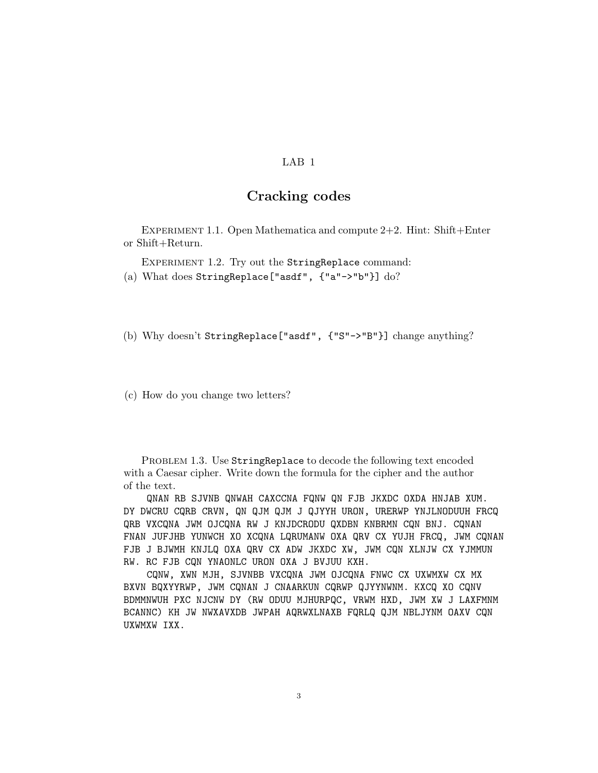## LAB 1

## Cracking codes

EXPERIMENT 1.1. Open Mathematica and compute  $2+2$ . Hint: Shift+Enter or Shift+Return.

Experiment 1.2. Try out the StringReplace command:

(a) What does StringReplace["asdf", {"a"->"b"}] do?

(b) Why doesn't StringReplace["asdf", {"S"->"B"}] change anything?

(c) How do you change two letters?

PROBLEM 1.3. Use StringReplace to decode the following text encoded with a Caesar cipher. Write down the formula for the cipher and the author of the text.

QNAN RB SJVNB QNWAH CAXCCNA FQNW QN FJB JKXDC OXDA HNJAB XUM. DY DWCRU CQRB CRVN, QN QJM QJM J QJYYH URON, URERWP YNJLNODUUH FRCQ QRB VXCQNA JWM OJCQNA RW J KNJDCRODU QXDBN KNBRMN CQN BNJ. CQNAN FNAN JUFJHB YUNWCH XO XCQNA LQRUMANW OXA QRV CX YUJH FRCQ, JWM CQNAN FJB J BJWMH KNJLQ OXA QRV CX ADW JKXDC XW, JWM CQN XLNJW CX YJMMUN RW. RC FJB CQN YNAONLC URON OXA J BVJUU KXH.

CQNW, XWN MJH, SJVNBB VXCQNA JWM OJCQNA FNWC CX UXWMXW CX MX BXVN BQXYYRWP, JWM CQNAN J CNAARKUN CQRWP QJYYNWNM. KXCQ XO CQNV BDMMNWUH PXC NJCNW DY (RW ODUU MJHURPQC, VRWM HXD, JWM XW J LAXFMNM BCANNC) KH JW NWXAVXDB JWPAH AQRWXLNAXB FQRLQ QJM NBLJYNM OAXV CQN UXWMXW IXX.